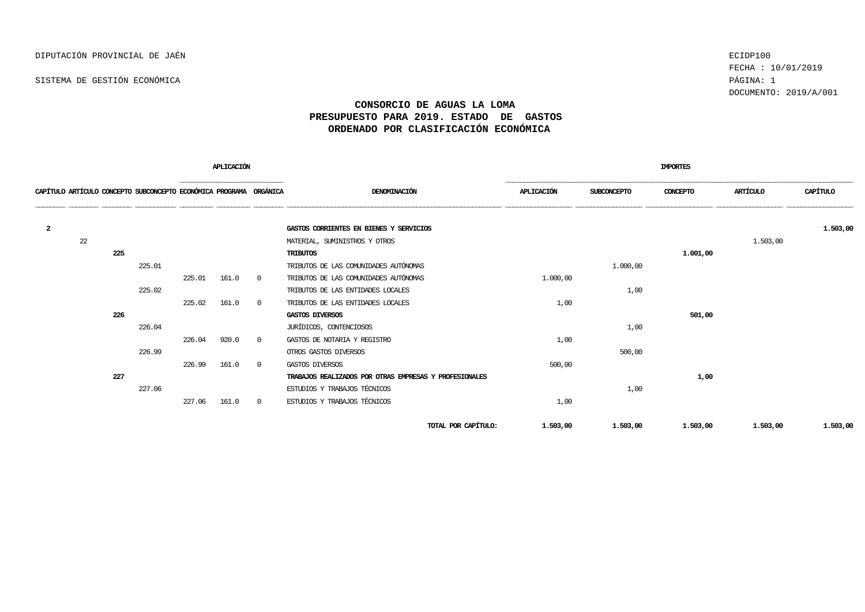SISTEMA DE GESTIÓN ECONÓMICA PÁGINA: 1

FECHA : 10/01/2019 DOCUMENTO: 2019/A/001

## **CONSORCIO DE AGUAS LA LOMA PRESUPUESTO PARA 2019. ESTADO DE GASTOS ORDENADO POR CLASIFICACIÓN ECONÓMICA**

|                |    |     |                                                                    |        | APLICACIÓN |                |                                                        | <b>IMPORTES</b> |             |          |          |          |  |
|----------------|----|-----|--------------------------------------------------------------------|--------|------------|----------------|--------------------------------------------------------|-----------------|-------------|----------|----------|----------|--|
|                |    |     | CAPÍTULO ARTÍCULO CONCEPTO SUBCONCEPTO ECONÓMICA PROGRAMA ORGÁNICA |        |            |                | DENOMINACIÓN                                           | APLICACIÓN      | SUBCONCEPTO | CONCEPTO | ARTÍCULO | CAPÍTULO |  |
| $\overline{a}$ |    |     |                                                                    |        |            |                | GASTOS CORRIENTES EN BIENES Y SERVICIOS                |                 |             |          |          | 1,503,00 |  |
|                | 22 |     |                                                                    |        |            |                | MATERIAL, SUMINISTROS Y OTROS                          |                 |             |          | 1,503,00 |          |  |
|                |    | 225 |                                                                    |        |            |                | <b>TRIBUTOS</b>                                        |                 |             | 1,001,00 |          |          |  |
|                |    |     | 225.01                                                             |        |            |                | TRIBUTOS DE LAS COMUNIDADES AUTÓNOMAS                  |                 | 1.000,00    |          |          |          |  |
|                |    |     |                                                                    | 225.01 | 161.0      | $\overline{0}$ | TRIBUTOS DE LAS COMUNIDADES AUTÓNOMAS                  | 1,000,00        |             |          |          |          |  |
|                |    |     | 225.02                                                             |        |            |                | TRIBUTOS DE LAS ENTIDADES LOCALES                      |                 | 1,00        |          |          |          |  |
|                |    |     |                                                                    | 225.02 | 161.0      | $\overline{0}$ | TRIBUTOS DE LAS ENTIDADES LOCALES                      | 1,00            |             |          |          |          |  |
|                |    | 226 |                                                                    |        |            |                | GASTOS DIVERSOS                                        |                 |             | 501,00   |          |          |  |
|                |    |     | 226.04                                                             |        |            |                | JURÍDICOS, CONTENCIOSOS                                |                 | 1,00        |          |          |          |  |
|                |    |     |                                                                    | 226.04 | 920.0      | $\overline{0}$ | GASTOS DE NOTARIA Y REGISTRO                           | 1,00            |             |          |          |          |  |
|                |    |     | 226.99                                                             |        |            |                | OTROS GASTOS DIVERSOS                                  |                 | 500,00      |          |          |          |  |
|                |    |     |                                                                    | 226.99 | 161.0      | $\overline{0}$ | GASTOS DIVERSOS                                        | 500,00          |             |          |          |          |  |
|                |    | 227 |                                                                    |        |            |                | TRABAJOS REALIZADOS POR OTRAS EMPRESAS Y PROFESIONALES |                 |             | 1,00     |          |          |  |
|                |    |     | 227.06                                                             |        |            |                | ESTUDIOS Y TRABAJOS TÉCNICOS                           |                 | 1,00        |          |          |          |  |
|                |    |     |                                                                    | 227.06 | 161.0      | $\overline{0}$ | ESTUDIOS Y TRABAJOS TÉCNICOS                           | 1,00            |             |          |          |          |  |
|                |    |     |                                                                    |        |            |                | TOTAL POR CAPÍTULO:                                    | 1,503,00        | 1,503,00    | 1,503,00 | 1,503,00 | 1,503,00 |  |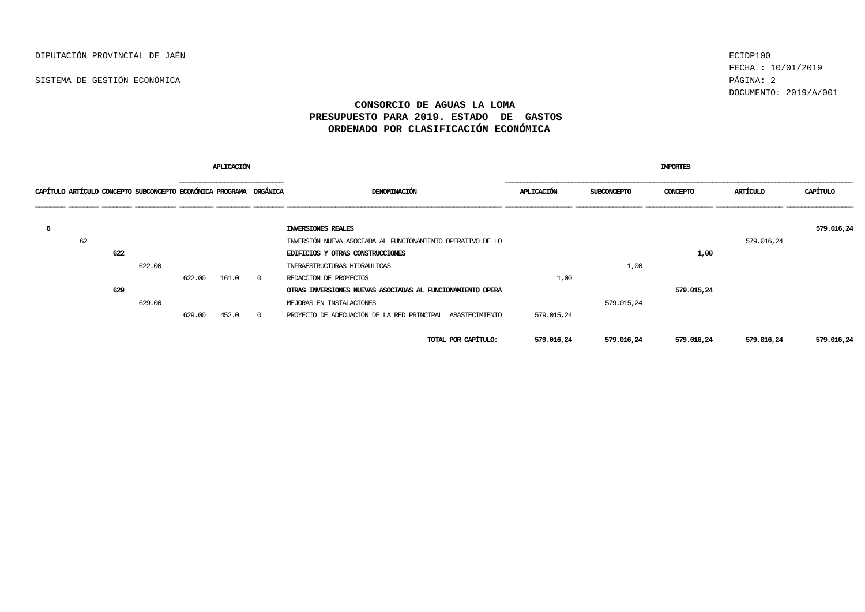SISTEMA DE GESTIÓN ECONÓMICA PÁGINA: 2

FECHA : 10/01/2019 DOCUMENTO: 2019/A/001

## **CONSORCIO DE AGUAS LA LOMA PRESUPUESTO PARA 2019. ESTADO DE GASTOS ORDENADO POR CLASIFICACIÓN ECONÓMICA**

|                                                                    |     |        |              | APLICACIÓN |          |                                                            | <b>IMPORTES</b> |                    |            |            |            |  |
|--------------------------------------------------------------------|-----|--------|--------------|------------|----------|------------------------------------------------------------|-----------------|--------------------|------------|------------|------------|--|
| CAPÍTULO ARTÍCULO CONCEPTO SUBCONCEPTO ECONÓMICA PROGRAMA ORGÁNICA |     |        | ____________ |            |          | DENOMINACIÓN                                               | APLICACIÓN      | <b>SUBCONCEPTO</b> | CONCEPTO   | ARTÍCULO   | CAPÍTULO   |  |
| 6                                                                  |     |        |              |            |          | INVERSIONES REALES                                         |                 |                    |            |            | 579.016,24 |  |
| 62                                                                 |     |        |              |            |          | INVERSIÓN NUEVA ASOCIADA AL FUNCIONAMIENTO OPERATIVO DE LO |                 |                    |            | 579.016,24 |            |  |
|                                                                    | 622 |        |              |            |          | EDIFICIOS Y OTRAS CONSTRUCCIONES                           |                 |                    | 1,00       |            |            |  |
|                                                                    |     | 622.00 |              |            |          | INFRAESTRUCTURAS HIDRAULICAS                               |                 | 1,00               |            |            |            |  |
|                                                                    |     |        | 622.00       | 161.0      | $\Omega$ | REDACCION DE PROYECTOS                                     | 1,00            |                    |            |            |            |  |
|                                                                    | 629 |        |              |            |          | OTRAS INVERSIONES NUEVAS ASOCIADAS AL FUNCIONAMIENTO OPERA |                 |                    | 579.015,24 |            |            |  |
|                                                                    |     | 629.00 |              |            |          | MEJORAS EN INSTALACIONES                                   |                 | 579.015,24         |            |            |            |  |
|                                                                    |     |        | 629.00       | 452.0      | $\Omega$ | PROYECTO DE ADECUACIÓN DE LA RED PRINCIPAL ABASTECIMIENTO  | 579.015,24      |                    |            |            |            |  |
|                                                                    |     |        |              |            |          | TOTAL POR CAPÍTULO:                                        | 579.016,24      | 579.016,24         | 579.016,24 | 579.016,24 | 579.016,24 |  |